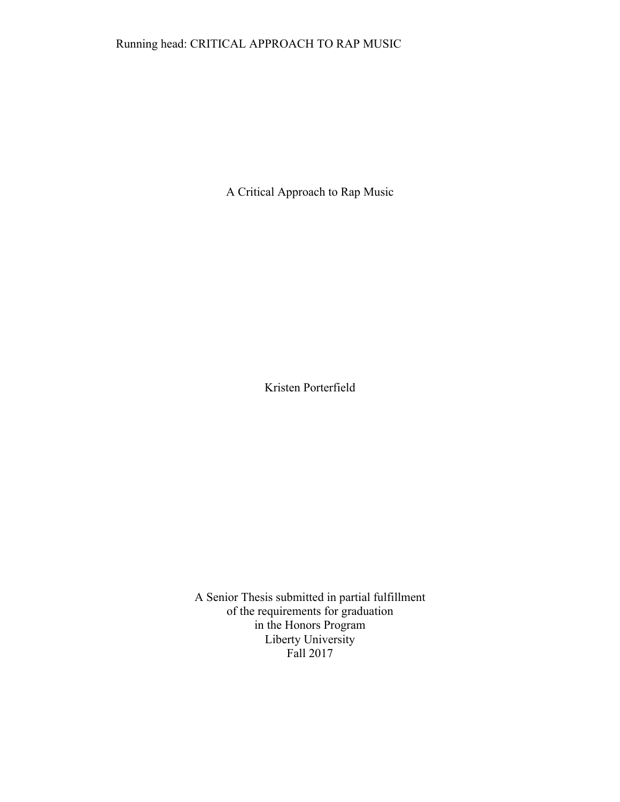A Critical Approach to Rap Music

Kristen Porterfield

A Senior Thesis submitted in partial fulfillment of the requirements for graduation in the Honors Program Liberty University Fall 2017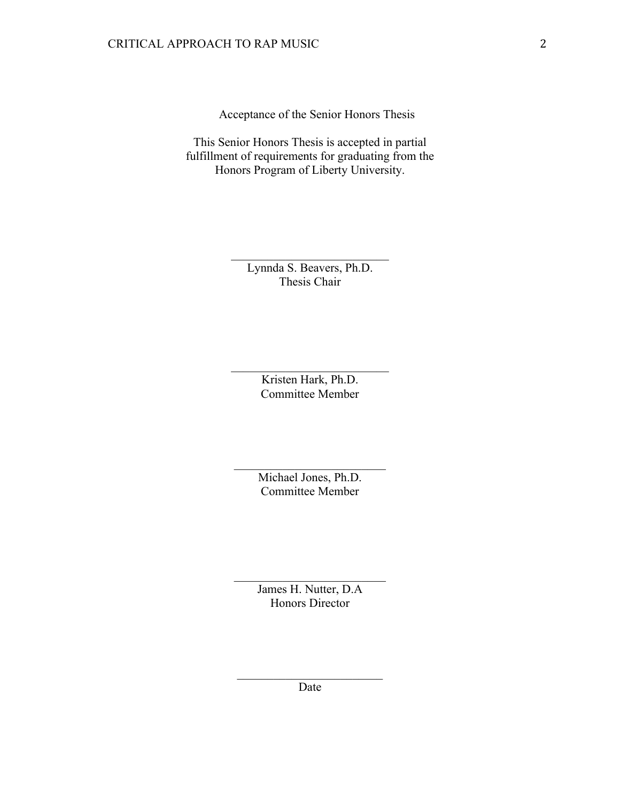Acceptance of the Senior Honors Thesis

This Senior Honors Thesis is accepted in partial fulfillment of requirements for graduating from the Honors Program of Liberty University.

> Lynnda S. Beavers, Ph.D. Thesis Chair

 $\mathcal{L}_\text{max}$ 

Kristen Hark, Ph.D. Committee Member

 $\mathcal{L}_\text{max}$  , where  $\mathcal{L}_\text{max}$  and  $\mathcal{L}_\text{max}$ 

Michael Jones, Ph.D. Committee Member

 $\mathcal{L}_\text{max}$  , where  $\mathcal{L}_\text{max}$  , we have the set of  $\mathcal{L}_\text{max}$ 

James H. Nutter, D.A Honors Director

 $\mathcal{L}_\text{max}$ 

 $\mathcal{L}_\text{max}$ Date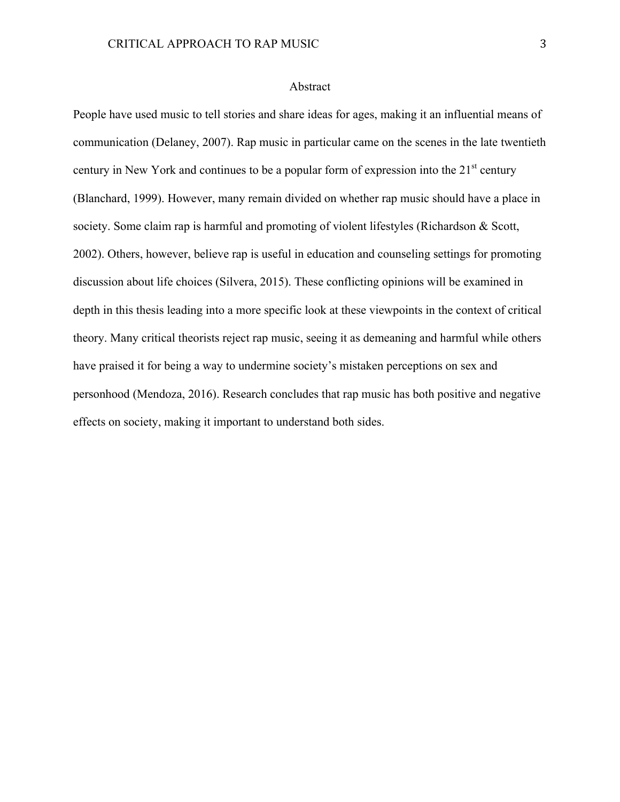#### Abstract

People have used music to tell stories and share ideas for ages, making it an influential means of communication (Delaney, 2007). Rap music in particular came on the scenes in the late twentieth century in New York and continues to be a popular form of expression into the  $21<sup>st</sup>$  century (Blanchard, 1999). However, many remain divided on whether rap music should have a place in society. Some claim rap is harmful and promoting of violent lifestyles (Richardson & Scott, 2002). Others, however, believe rap is useful in education and counseling settings for promoting discussion about life choices (Silvera, 2015). These conflicting opinions will be examined in depth in this thesis leading into a more specific look at these viewpoints in the context of critical theory. Many critical theorists reject rap music, seeing it as demeaning and harmful while others have praised it for being a way to undermine society's mistaken perceptions on sex and personhood (Mendoza, 2016). Research concludes that rap music has both positive and negative effects on society, making it important to understand both sides.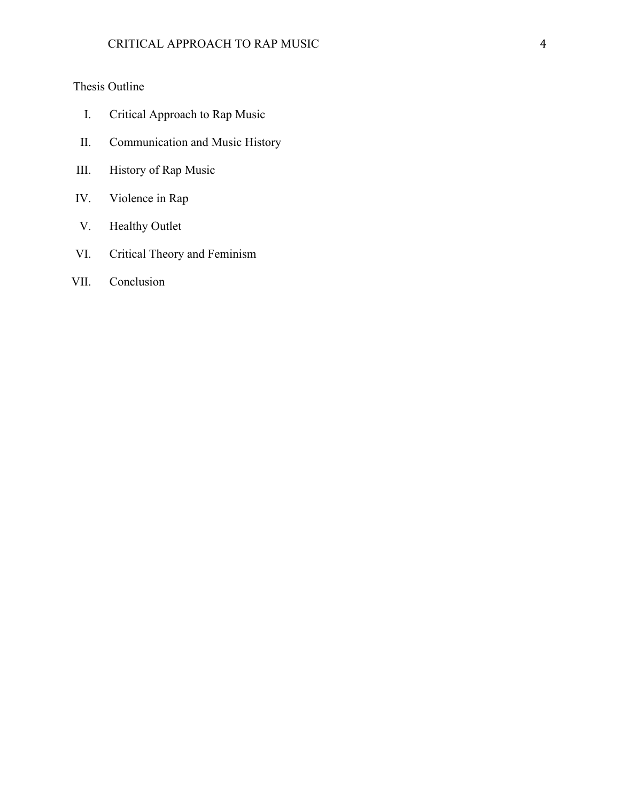# Thesis Outline

- I. Critical Approach to Rap Music
- II. Communication and Music History
- III. History of Rap Music
- IV. Violence in Rap
- V. Healthy Outlet
- VI. Critical Theory and Feminism
- VII. Conclusion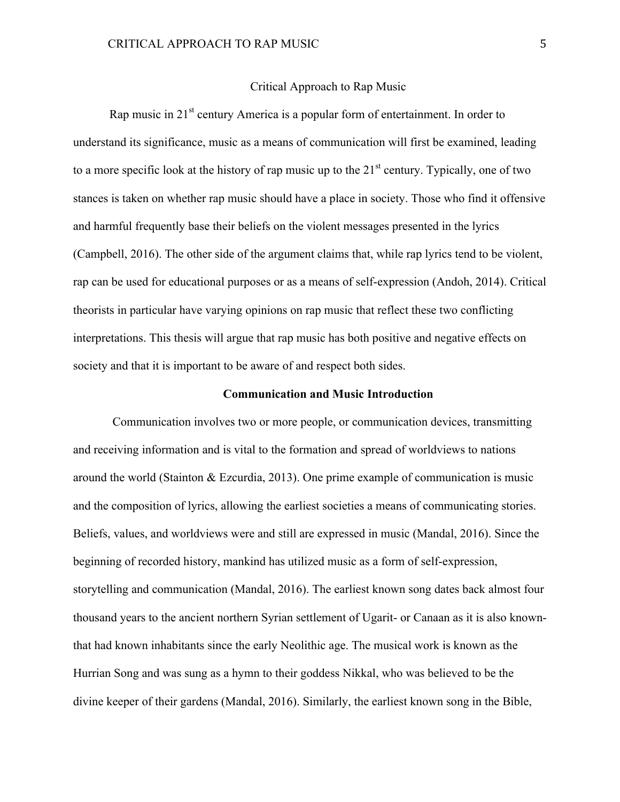## Critical Approach to Rap Music

Rap music in  $21<sup>st</sup>$  century America is a popular form of entertainment. In order to understand its significance, music as a means of communication will first be examined, leading to a more specific look at the history of rap music up to the  $21<sup>st</sup>$  century. Typically, one of two stances is taken on whether rap music should have a place in society. Those who find it offensive and harmful frequently base their beliefs on the violent messages presented in the lyrics (Campbell, 2016). The other side of the argument claims that, while rap lyrics tend to be violent, rap can be used for educational purposes or as a means of self-expression (Andoh, 2014). Critical theorists in particular have varying opinions on rap music that reflect these two conflicting interpretations. This thesis will argue that rap music has both positive and negative effects on society and that it is important to be aware of and respect both sides.

## **Communication and Music Introduction**

Communication involves two or more people, or communication devices, transmitting and receiving information and is vital to the formation and spread of worldviews to nations around the world (Stainton & Ezcurdia, 2013). One prime example of communication is music and the composition of lyrics, allowing the earliest societies a means of communicating stories. Beliefs, values, and worldviews were and still are expressed in music (Mandal, 2016). Since the beginning of recorded history, mankind has utilized music as a form of self-expression, storytelling and communication (Mandal, 2016). The earliest known song dates back almost four thousand years to the ancient northern Syrian settlement of Ugarit- or Canaan as it is also knownthat had known inhabitants since the early Neolithic age. The musical work is known as the Hurrian Song and was sung as a hymn to their goddess Nikkal, who was believed to be the divine keeper of their gardens (Mandal, 2016). Similarly, the earliest known song in the Bible,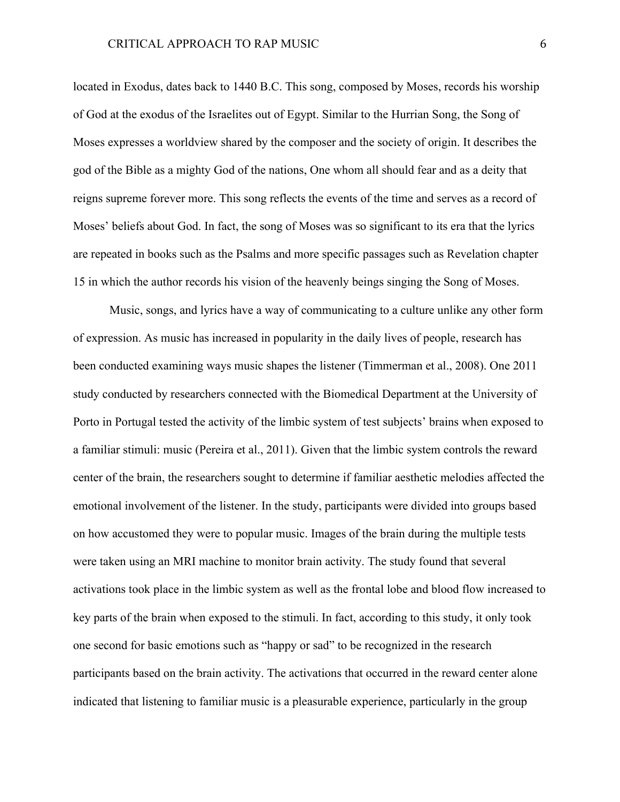located in Exodus, dates back to 1440 B.C. This song, composed by Moses, records his worship of God at the exodus of the Israelites out of Egypt. Similar to the Hurrian Song, the Song of Moses expresses a worldview shared by the composer and the society of origin. It describes the god of the Bible as a mighty God of the nations, One whom all should fear and as a deity that reigns supreme forever more. This song reflects the events of the time and serves as a record of Moses' beliefs about God. In fact, the song of Moses was so significant to its era that the lyrics are repeated in books such as the Psalms and more specific passages such as Revelation chapter 15 in which the author records his vision of the heavenly beings singing the Song of Moses.

Music, songs, and lyrics have a way of communicating to a culture unlike any other form of expression. As music has increased in popularity in the daily lives of people, research has been conducted examining ways music shapes the listener (Timmerman et al., 2008). One 2011 study conducted by researchers connected with the Biomedical Department at the University of Porto in Portugal tested the activity of the limbic system of test subjects' brains when exposed to a familiar stimuli: music (Pereira et al., 2011). Given that the limbic system controls the reward center of the brain, the researchers sought to determine if familiar aesthetic melodies affected the emotional involvement of the listener. In the study, participants were divided into groups based on how accustomed they were to popular music. Images of the brain during the multiple tests were taken using an MRI machine to monitor brain activity. The study found that several activations took place in the limbic system as well as the frontal lobe and blood flow increased to key parts of the brain when exposed to the stimuli. In fact, according to this study, it only took one second for basic emotions such as "happy or sad" to be recognized in the research participants based on the brain activity. The activations that occurred in the reward center alone indicated that listening to familiar music is a pleasurable experience, particularly in the group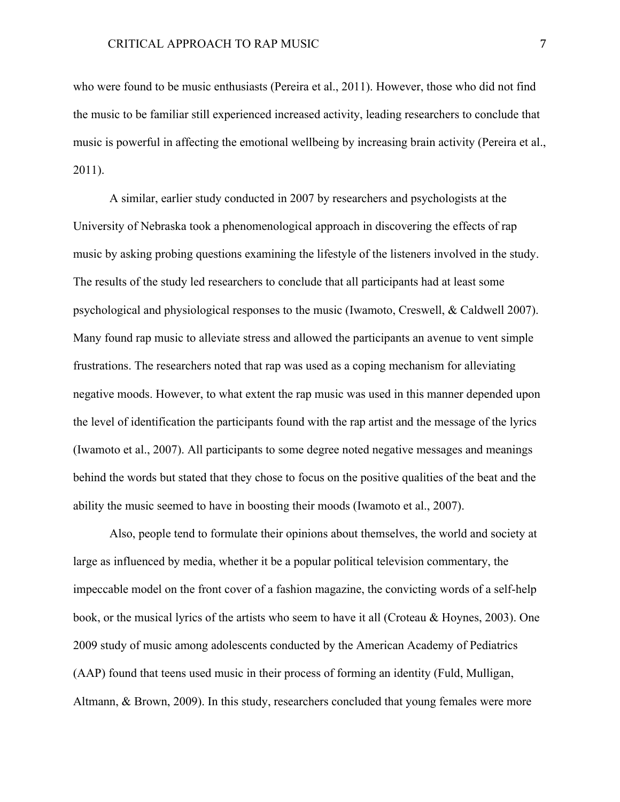who were found to be music enthusiasts (Pereira et al., 2011). However, those who did not find the music to be familiar still experienced increased activity, leading researchers to conclude that music is powerful in affecting the emotional wellbeing by increasing brain activity (Pereira et al., 2011).

A similar, earlier study conducted in 2007 by researchers and psychologists at the University of Nebraska took a phenomenological approach in discovering the effects of rap music by asking probing questions examining the lifestyle of the listeners involved in the study. The results of the study led researchers to conclude that all participants had at least some psychological and physiological responses to the music (Iwamoto, Creswell, & Caldwell 2007). Many found rap music to alleviate stress and allowed the participants an avenue to vent simple frustrations. The researchers noted that rap was used as a coping mechanism for alleviating negative moods. However, to what extent the rap music was used in this manner depended upon the level of identification the participants found with the rap artist and the message of the lyrics (Iwamoto et al., 2007). All participants to some degree noted negative messages and meanings behind the words but stated that they chose to focus on the positive qualities of the beat and the ability the music seemed to have in boosting their moods (Iwamoto et al., 2007).

Also, people tend to formulate their opinions about themselves, the world and society at large as influenced by media, whether it be a popular political television commentary, the impeccable model on the front cover of a fashion magazine, the convicting words of a self-help book, or the musical lyrics of the artists who seem to have it all (Croteau & Hoynes, 2003). One 2009 study of music among adolescents conducted by the American Academy of Pediatrics (AAP) found that teens used music in their process of forming an identity (Fuld, Mulligan, Altmann, & Brown, 2009). In this study, researchers concluded that young females were more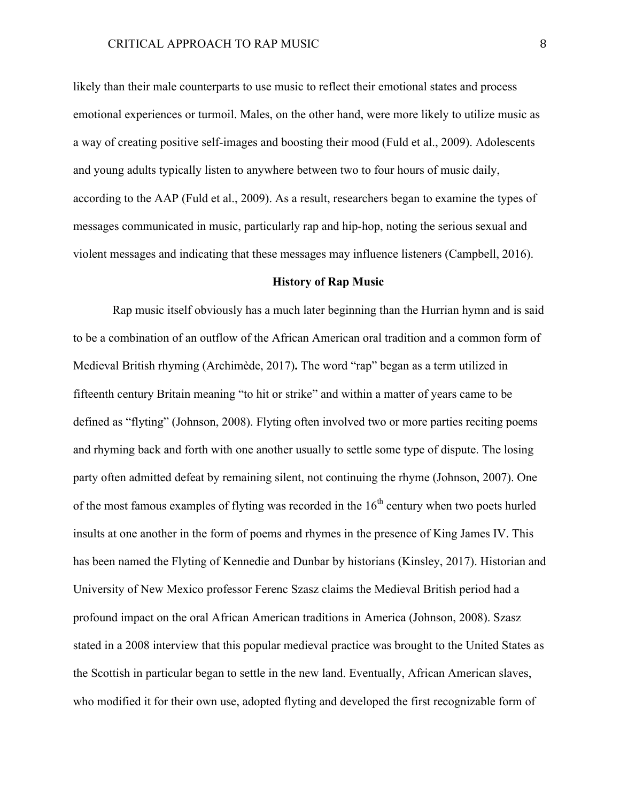likely than their male counterparts to use music to reflect their emotional states and process emotional experiences or turmoil. Males, on the other hand, were more likely to utilize music as a way of creating positive self-images and boosting their mood (Fuld et al., 2009). Adolescents and young adults typically listen to anywhere between two to four hours of music daily, according to the AAP (Fuld et al., 2009). As a result, researchers began to examine the types of messages communicated in music, particularly rap and hip-hop, noting the serious sexual and violent messages and indicating that these messages may influence listeners (Campbell, 2016).

#### **History of Rap Music**

Rap music itself obviously has a much later beginning than the Hurrian hymn and is said to be a combination of an outflow of the African American oral tradition and a common form of Medieval British rhyming (Archimède, 2017)**.** The word "rap" began as a term utilized in fifteenth century Britain meaning "to hit or strike" and within a matter of years came to be defined as "flyting" (Johnson, 2008). Flyting often involved two or more parties reciting poems and rhyming back and forth with one another usually to settle some type of dispute. The losing party often admitted defeat by remaining silent, not continuing the rhyme (Johnson, 2007). One of the most famous examples of flyting was recorded in the  $16<sup>th</sup>$  century when two poets hurled insults at one another in the form of poems and rhymes in the presence of King James IV. This has been named the Flyting of Kennedie and Dunbar by historians (Kinsley, 2017). Historian and University of New Mexico professor Ferenc Szasz claims the Medieval British period had a profound impact on the oral African American traditions in America (Johnson, 2008). Szasz stated in a 2008 interview that this popular medieval practice was brought to the United States as the Scottish in particular began to settle in the new land. Eventually, African American slaves, who modified it for their own use, adopted flyting and developed the first recognizable form of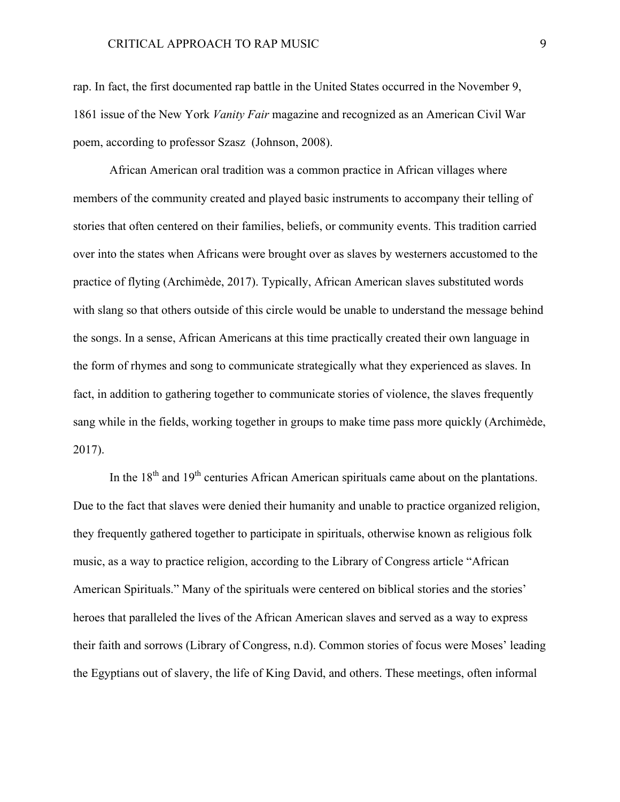rap. In fact, the first documented rap battle in the United States occurred in the November 9, 1861 issue of the New York *Vanity Fair* magazine and recognized as an American Civil War poem, according to professor Szasz (Johnson, 2008).

African American oral tradition was a common practice in African villages where members of the community created and played basic instruments to accompany their telling of stories that often centered on their families, beliefs, or community events. This tradition carried over into the states when Africans were brought over as slaves by westerners accustomed to the practice of flyting (Archimède, 2017). Typically, African American slaves substituted words with slang so that others outside of this circle would be unable to understand the message behind the songs. In a sense, African Americans at this time practically created their own language in the form of rhymes and song to communicate strategically what they experienced as slaves. In fact, in addition to gathering together to communicate stories of violence, the slaves frequently sang while in the fields, working together in groups to make time pass more quickly (Archimède, 2017).

In the  $18<sup>th</sup>$  and  $19<sup>th</sup>$  centuries African American spirituals came about on the plantations. Due to the fact that slaves were denied their humanity and unable to practice organized religion, they frequently gathered together to participate in spirituals, otherwise known as religious folk music, as a way to practice religion, according to the Library of Congress article "African American Spirituals." Many of the spirituals were centered on biblical stories and the stories' heroes that paralleled the lives of the African American slaves and served as a way to express their faith and sorrows (Library of Congress, n.d). Common stories of focus were Moses' leading the Egyptians out of slavery, the life of King David, and others. These meetings, often informal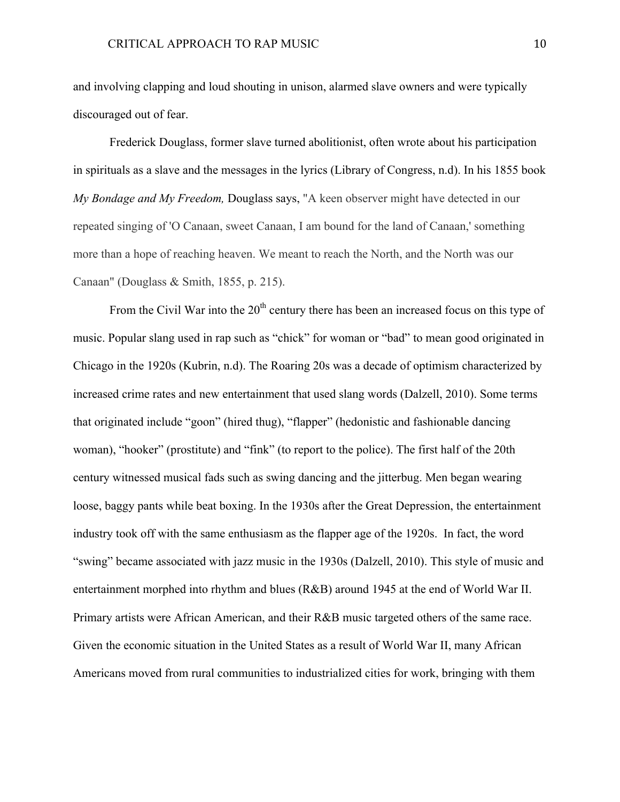and involving clapping and loud shouting in unison, alarmed slave owners and were typically discouraged out of fear.

Frederick Douglass, former slave turned abolitionist, often wrote about his participation in spirituals as a slave and the messages in the lyrics (Library of Congress, n.d). In his 1855 book *My Bondage and My Freedom,* Douglass says, "A keen observer might have detected in our repeated singing of 'O Canaan, sweet Canaan, I am bound for the land of Canaan,' something more than a hope of reaching heaven. We meant to reach the North, and the North was our Canaan" (Douglass & Smith, 1855, p. 215).

From the Civil War into the  $20<sup>th</sup>$  century there has been an increased focus on this type of music. Popular slang used in rap such as "chick" for woman or "bad" to mean good originated in Chicago in the 1920s (Kubrin, n.d). The Roaring 20s was a decade of optimism characterized by increased crime rates and new entertainment that used slang words (Dalzell, 2010). Some terms that originated include "goon" (hired thug), "flapper" (hedonistic and fashionable dancing woman), "hooker" (prostitute) and "fink" (to report to the police). The first half of the 20th century witnessed musical fads such as swing dancing and the jitterbug. Men began wearing loose, baggy pants while beat boxing. In the 1930s after the Great Depression, the entertainment industry took off with the same enthusiasm as the flapper age of the 1920s. In fact, the word "swing" became associated with jazz music in the 1930s (Dalzell, 2010). This style of music and entertainment morphed into rhythm and blues (R&B) around 1945 at the end of World War II. Primary artists were African American, and their R&B music targeted others of the same race. Given the economic situation in the United States as a result of World War II, many African Americans moved from rural communities to industrialized cities for work, bringing with them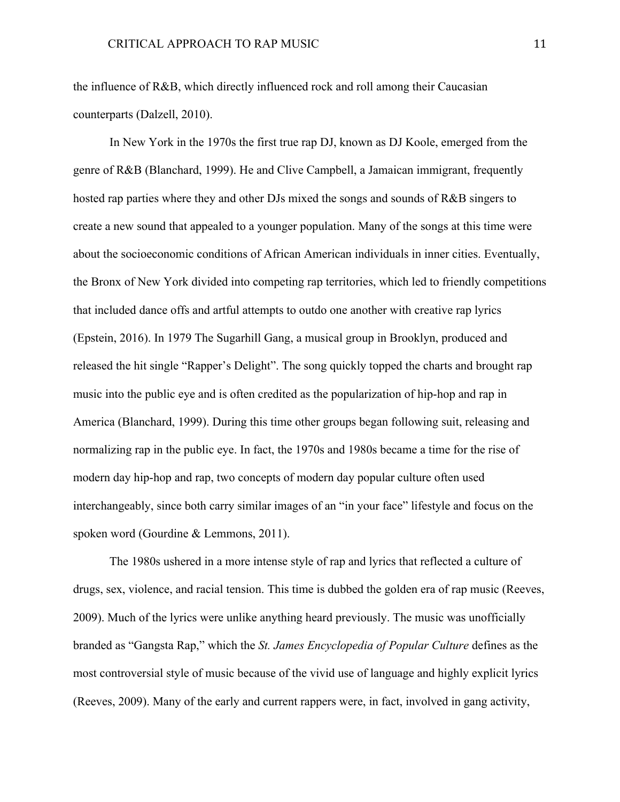the influence of R&B, which directly influenced rock and roll among their Caucasian counterparts (Dalzell, 2010).

In New York in the 1970s the first true rap DJ, known as DJ Koole, emerged from the genre of R&B (Blanchard, 1999). He and Clive Campbell, a Jamaican immigrant, frequently hosted rap parties where they and other DJs mixed the songs and sounds of R&B singers to create a new sound that appealed to a younger population. Many of the songs at this time were about the socioeconomic conditions of African American individuals in inner cities. Eventually, the Bronx of New York divided into competing rap territories, which led to friendly competitions that included dance offs and artful attempts to outdo one another with creative rap lyrics (Epstein, 2016). In 1979 The Sugarhill Gang, a musical group in Brooklyn, produced and released the hit single "Rapper's Delight". The song quickly topped the charts and brought rap music into the public eye and is often credited as the popularization of hip-hop and rap in America (Blanchard, 1999). During this time other groups began following suit, releasing and normalizing rap in the public eye. In fact, the 1970s and 1980s became a time for the rise of modern day hip-hop and rap, two concepts of modern day popular culture often used interchangeably, since both carry similar images of an "in your face" lifestyle and focus on the spoken word (Gourdine & Lemmons, 2011).

The 1980s ushered in a more intense style of rap and lyrics that reflected a culture of drugs, sex, violence, and racial tension. This time is dubbed the golden era of rap music (Reeves, 2009). Much of the lyrics were unlike anything heard previously. The music was unofficially branded as "Gangsta Rap," which the *St. James Encyclopedia of Popular Culture* defines as the most controversial style of music because of the vivid use of language and highly explicit lyrics (Reeves, 2009). Many of the early and current rappers were, in fact, involved in gang activity,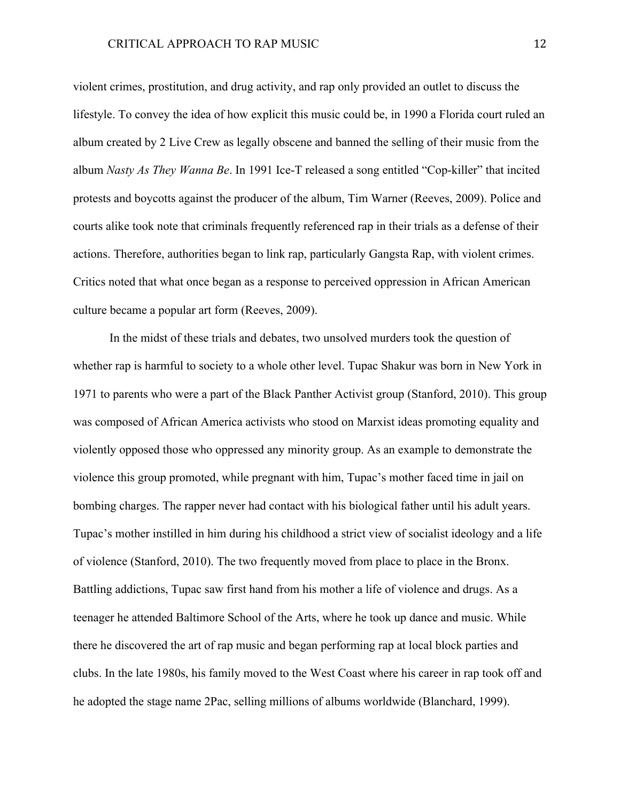violent crimes, prostitution, and drug activity, and rap only provided an outlet to discuss the lifestyle. To convey the idea of how explicit this music could be, in 1990 a Florida court ruled an album created by 2 Live Crew as legally obscene and banned the selling of their music from the album *Nasty As They Wanna Be*. In 1991 Ice-T released a song entitled "Cop-killer" that incited protests and boycotts against the producer of the album, Tim Warner (Reeves, 2009). Police and courts alike took note that criminals frequently referenced rap in their trials as a defense of their actions. Therefore, authorities began to link rap, particularly Gangsta Rap, with violent crimes. Critics noted that what once began as a response to perceived oppression in African American culture became a popular art form (Reeves, 2009).

In the midst of these trials and debates, two unsolved murders took the question of whether rap is harmful to society to a whole other level. Tupac Shakur was born in New York in 1971 to parents who were a part of the Black Panther Activist group (Stanford, 2010). This group was composed of African America activists who stood on Marxist ideas promoting equality and violently opposed those who oppressed any minority group. As an example to demonstrate the violence this group promoted, while pregnant with him, Tupac's mother faced time in jail on bombing charges. The rapper never had contact with his biological father until his adult years. Tupac's mother instilled in him during his childhood a strict view of socialist ideology and a life of violence (Stanford, 2010). The two frequently moved from place to place in the Bronx. Battling addictions, Tupac saw first hand from his mother a life of violence and drugs. As a teenager he attended Baltimore School of the Arts, where he took up dance and music. While there he discovered the art of rap music and began performing rap at local block parties and clubs. In the late 1980s, his family moved to the West Coast where his career in rap took off and he adopted the stage name 2Pac, selling millions of albums worldwide (Blanchard, 1999).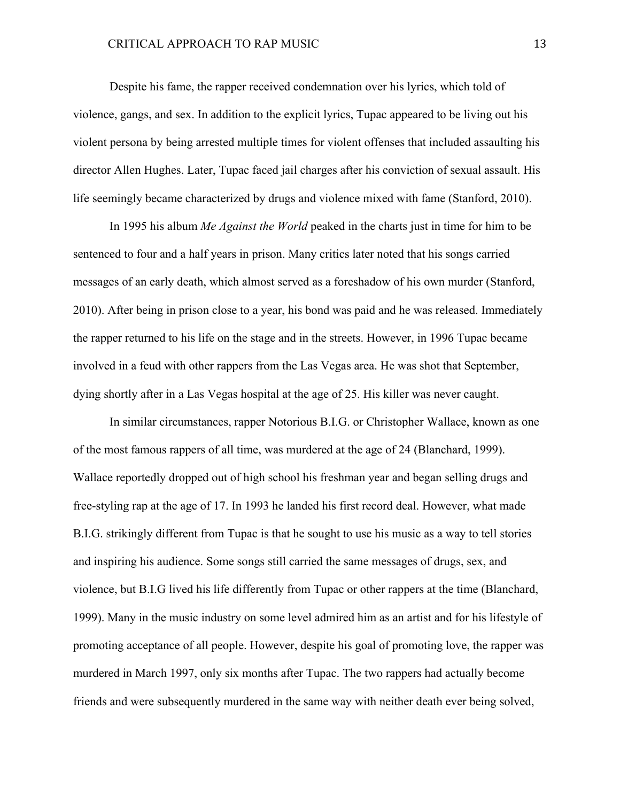Despite his fame, the rapper received condemnation over his lyrics, which told of violence, gangs, and sex. In addition to the explicit lyrics, Tupac appeared to be living out his violent persona by being arrested multiple times for violent offenses that included assaulting his director Allen Hughes. Later, Tupac faced jail charges after his conviction of sexual assault. His life seemingly became characterized by drugs and violence mixed with fame (Stanford, 2010).

In 1995 his album *Me Against the World* peaked in the charts just in time for him to be sentenced to four and a half years in prison. Many critics later noted that his songs carried messages of an early death, which almost served as a foreshadow of his own murder (Stanford, 2010). After being in prison close to a year, his bond was paid and he was released. Immediately the rapper returned to his life on the stage and in the streets. However, in 1996 Tupac became involved in a feud with other rappers from the Las Vegas area. He was shot that September, dying shortly after in a Las Vegas hospital at the age of 25. His killer was never caught.

In similar circumstances, rapper Notorious B.I.G. or Christopher Wallace, known as one of the most famous rappers of all time, was murdered at the age of 24 (Blanchard, 1999). Wallace reportedly dropped out of high school his freshman year and began selling drugs and free-styling rap at the age of 17. In 1993 he landed his first record deal. However, what made B.I.G. strikingly different from Tupac is that he sought to use his music as a way to tell stories and inspiring his audience. Some songs still carried the same messages of drugs, sex, and violence, but B.I.G lived his life differently from Tupac or other rappers at the time (Blanchard, 1999). Many in the music industry on some level admired him as an artist and for his lifestyle of promoting acceptance of all people. However, despite his goal of promoting love, the rapper was murdered in March 1997, only six months after Tupac. The two rappers had actually become friends and were subsequently murdered in the same way with neither death ever being solved,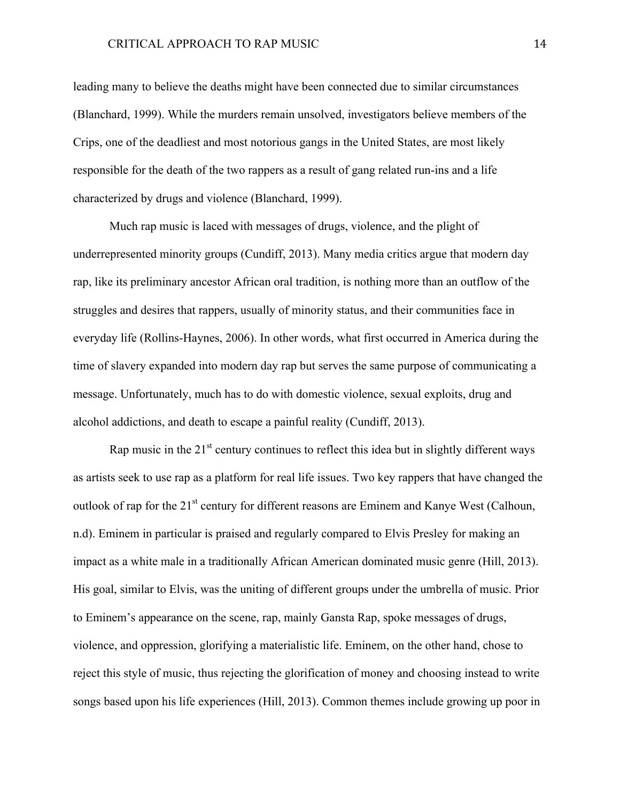leading many to believe the deaths might have been connected due to similar circumstances (Blanchard, 1999). While the murders remain unsolved, investigators believe members of the Crips, one of the deadliest and most notorious gangs in the United States, are most likely responsible for the death of the two rappers as a result of gang related run-ins and a life characterized by drugs and violence (Blanchard, 1999).

Much rap music is laced with messages of drugs, violence, and the plight of underrepresented minority groups (Cundiff, 2013). Many media critics argue that modern day rap, like its preliminary ancestor African oral tradition, is nothing more than an outflow of the struggles and desires that rappers, usually of minority status, and their communities face in everyday life (Rollins-Haynes, 2006). In other words, what first occurred in America during the time of slavery expanded into modern day rap but serves the same purpose of communicating a message. Unfortunately, much has to do with domestic violence, sexual exploits, drug and alcohol addictions, and death to escape a painful reality (Cundiff, 2013).

Rap music in the  $21<sup>st</sup>$  century continues to reflect this idea but in slightly different ways as artists seek to use rap as a platform for real life issues. Two key rappers that have changed the outlook of rap for the  $21<sup>st</sup>$  century for different reasons are Eminem and Kanye West (Calhoun, n.d). Eminem in particular is praised and regularly compared to Elvis Presley for making an impact as a white male in a traditionally African American dominated music genre (Hill, 2013). His goal, similar to Elvis, was the uniting of different groups under the umbrella of music. Prior to Eminem's appearance on the scene, rap, mainly Gansta Rap, spoke messages of drugs, violence, and oppression, glorifying a materialistic life. Eminem, on the other hand, chose to reject this style of music, thus rejecting the glorification of money and choosing instead to write songs based upon his life experiences (Hill, 2013). Common themes include growing up poor in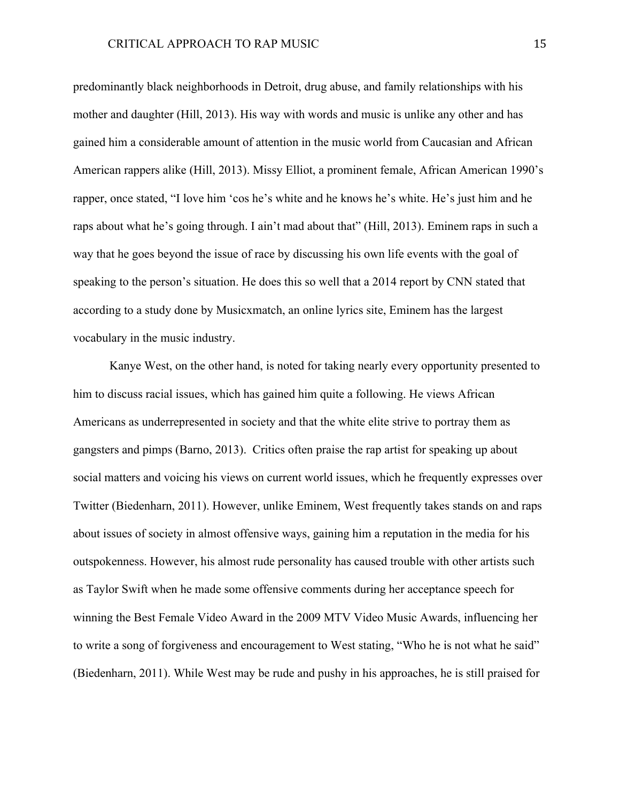predominantly black neighborhoods in Detroit, drug abuse, and family relationships with his mother and daughter (Hill, 2013). His way with words and music is unlike any other and has gained him a considerable amount of attention in the music world from Caucasian and African American rappers alike (Hill, 2013). Missy Elliot, a prominent female, African American 1990's rapper, once stated, "I love him 'cos he's white and he knows he's white. He's just him and he raps about what he's going through. I ain't mad about that" (Hill, 2013). Eminem raps in such a way that he goes beyond the issue of race by discussing his own life events with the goal of speaking to the person's situation. He does this so well that a 2014 report by CNN stated that according to a study done by Musicxmatch, an online lyrics site, Eminem has the largest vocabulary in the music industry.

Kanye West, on the other hand, is noted for taking nearly every opportunity presented to him to discuss racial issues, which has gained him quite a following. He views African Americans as underrepresented in society and that the white elite strive to portray them as gangsters and pimps (Barno, 2013). Critics often praise the rap artist for speaking up about social matters and voicing his views on current world issues, which he frequently expresses over Twitter (Biedenharn, 2011). However, unlike Eminem, West frequently takes stands on and raps about issues of society in almost offensive ways, gaining him a reputation in the media for his outspokenness. However, his almost rude personality has caused trouble with other artists such as Taylor Swift when he made some offensive comments during her acceptance speech for winning the Best Female Video Award in the 2009 MTV Video Music Awards, influencing her to write a song of forgiveness and encouragement to West stating, "Who he is not what he said" (Biedenharn, 2011). While West may be rude and pushy in his approaches, he is still praised for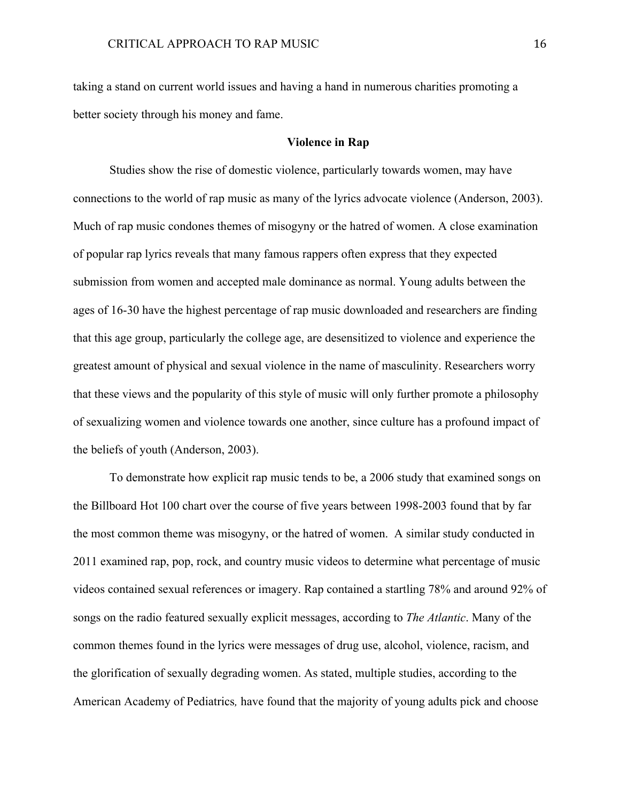taking a stand on current world issues and having a hand in numerous charities promoting a better society through his money and fame.

#### **Violence in Rap**

Studies show the rise of domestic violence, particularly towards women, may have connections to the world of rap music as many of the lyrics advocate violence (Anderson, 2003). Much of rap music condones themes of misogyny or the hatred of women. A close examination of popular rap lyrics reveals that many famous rappers often express that they expected submission from women and accepted male dominance as normal. Young adults between the ages of 16-30 have the highest percentage of rap music downloaded and researchers are finding that this age group, particularly the college age, are desensitized to violence and experience the greatest amount of physical and sexual violence in the name of masculinity. Researchers worry that these views and the popularity of this style of music will only further promote a philosophy of sexualizing women and violence towards one another, since culture has a profound impact of the beliefs of youth (Anderson, 2003).

To demonstrate how explicit rap music tends to be, a 2006 study that examined songs on the Billboard Hot 100 chart over the course of five years between 1998-2003 found that by far the most common theme was misogyny, or the hatred of women. A similar study conducted in 2011 examined rap, pop, rock, and country music videos to determine what percentage of music videos contained sexual references or imagery. Rap contained a startling 78% and around 92% of songs on the radio featured sexually explicit messages, according to *The Atlantic*. Many of the common themes found in the lyrics were messages of drug use, alcohol, violence, racism, and the glorification of sexually degrading women. As stated, multiple studies, according to the American Academy of Pediatrics*,* have found that the majority of young adults pick and choose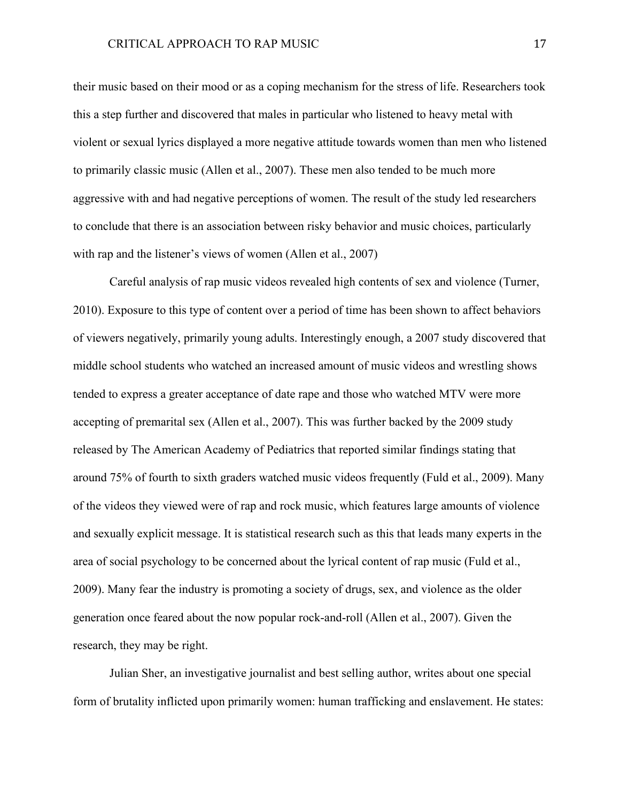their music based on their mood or as a coping mechanism for the stress of life. Researchers took this a step further and discovered that males in particular who listened to heavy metal with violent or sexual lyrics displayed a more negative attitude towards women than men who listened to primarily classic music (Allen et al., 2007). These men also tended to be much more aggressive with and had negative perceptions of women. The result of the study led researchers to conclude that there is an association between risky behavior and music choices, particularly with rap and the listener's views of women (Allen et al., 2007)

Careful analysis of rap music videos revealed high contents of sex and violence (Turner, 2010). Exposure to this type of content over a period of time has been shown to affect behaviors of viewers negatively, primarily young adults. Interestingly enough, a 2007 study discovered that middle school students who watched an increased amount of music videos and wrestling shows tended to express a greater acceptance of date rape and those who watched MTV were more accepting of premarital sex (Allen et al., 2007). This was further backed by the 2009 study released by The American Academy of Pediatrics that reported similar findings stating that around 75% of fourth to sixth graders watched music videos frequently (Fuld et al., 2009). Many of the videos they viewed were of rap and rock music, which features large amounts of violence and sexually explicit message. It is statistical research such as this that leads many experts in the area of social psychology to be concerned about the lyrical content of rap music (Fuld et al., 2009). Many fear the industry is promoting a society of drugs, sex, and violence as the older generation once feared about the now popular rock-and-roll (Allen et al., 2007). Given the research, they may be right.

Julian Sher, an investigative journalist and best selling author, writes about one special form of brutality inflicted upon primarily women: human trafficking and enslavement. He states: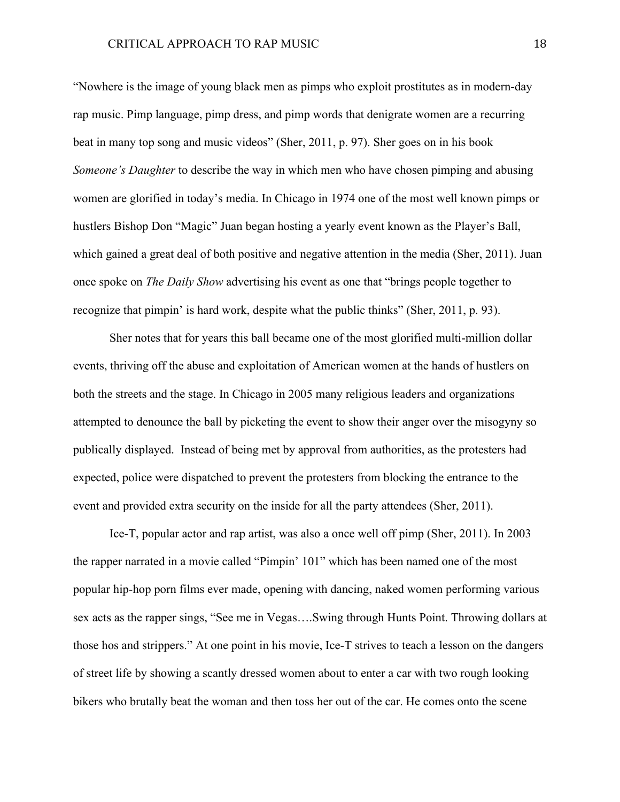"Nowhere is the image of young black men as pimps who exploit prostitutes as in modern-day rap music. Pimp language, pimp dress, and pimp words that denigrate women are a recurring beat in many top song and music videos" (Sher, 2011, p. 97). Sher goes on in his book *Someone's Daughter* to describe the way in which men who have chosen pimping and abusing women are glorified in today's media. In Chicago in 1974 one of the most well known pimps or hustlers Bishop Don "Magic" Juan began hosting a yearly event known as the Player's Ball, which gained a great deal of both positive and negative attention in the media (Sher, 2011). Juan once spoke on *The Daily Show* advertising his event as one that "brings people together to recognize that pimpin' is hard work, despite what the public thinks" (Sher, 2011, p. 93).

Sher notes that for years this ball became one of the most glorified multi-million dollar events, thriving off the abuse and exploitation of American women at the hands of hustlers on both the streets and the stage. In Chicago in 2005 many religious leaders and organizations attempted to denounce the ball by picketing the event to show their anger over the misogyny so publically displayed. Instead of being met by approval from authorities, as the protesters had expected, police were dispatched to prevent the protesters from blocking the entrance to the event and provided extra security on the inside for all the party attendees (Sher, 2011).

Ice-T, popular actor and rap artist, was also a once well off pimp (Sher, 2011). In 2003 the rapper narrated in a movie called "Pimpin' 101" which has been named one of the most popular hip-hop porn films ever made, opening with dancing, naked women performing various sex acts as the rapper sings, "See me in Vegas….Swing through Hunts Point. Throwing dollars at those hos and strippers." At one point in his movie, Ice-T strives to teach a lesson on the dangers of street life by showing a scantly dressed women about to enter a car with two rough looking bikers who brutally beat the woman and then toss her out of the car. He comes onto the scene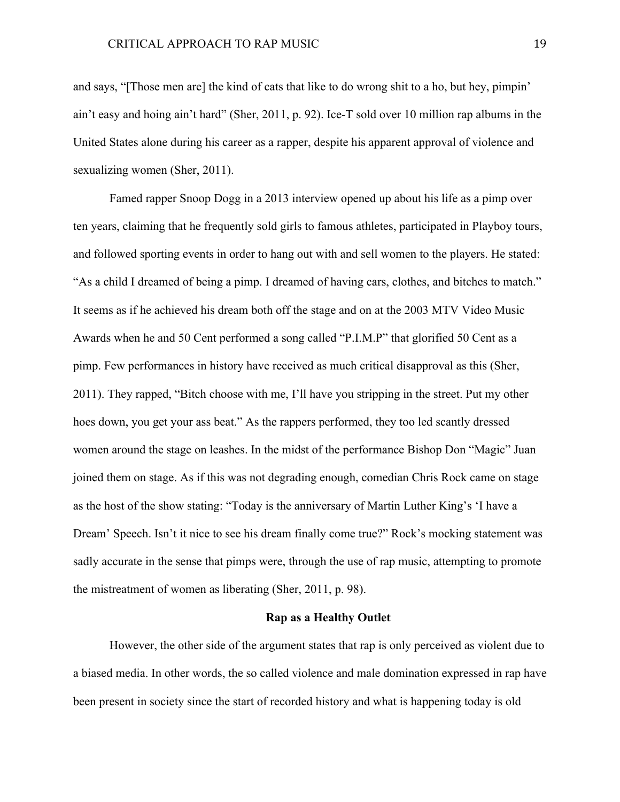and says, "[Those men are] the kind of cats that like to do wrong shit to a ho, but hey, pimpin' ain't easy and hoing ain't hard" (Sher, 2011, p. 92). Ice-T sold over 10 million rap albums in the United States alone during his career as a rapper, despite his apparent approval of violence and sexualizing women (Sher, 2011).

Famed rapper Snoop Dogg in a 2013 interview opened up about his life as a pimp over ten years, claiming that he frequently sold girls to famous athletes, participated in Playboy tours, and followed sporting events in order to hang out with and sell women to the players. He stated: "As a child I dreamed of being a pimp. I dreamed of having cars, clothes, and bitches to match." It seems as if he achieved his dream both off the stage and on at the 2003 MTV Video Music Awards when he and 50 Cent performed a song called "P.I.M.P" that glorified 50 Cent as a pimp. Few performances in history have received as much critical disapproval as this (Sher, 2011). They rapped, "Bitch choose with me, I'll have you stripping in the street. Put my other hoes down, you get your ass beat." As the rappers performed, they too led scantly dressed women around the stage on leashes. In the midst of the performance Bishop Don "Magic" Juan joined them on stage. As if this was not degrading enough, comedian Chris Rock came on stage as the host of the show stating: "Today is the anniversary of Martin Luther King's 'I have a Dream' Speech. Isn't it nice to see his dream finally come true?" Rock's mocking statement was sadly accurate in the sense that pimps were, through the use of rap music, attempting to promote the mistreatment of women as liberating (Sher, 2011, p. 98).

## **Rap as a Healthy Outlet**

However, the other side of the argument states that rap is only perceived as violent due to a biased media. In other words, the so called violence and male domination expressed in rap have been present in society since the start of recorded history and what is happening today is old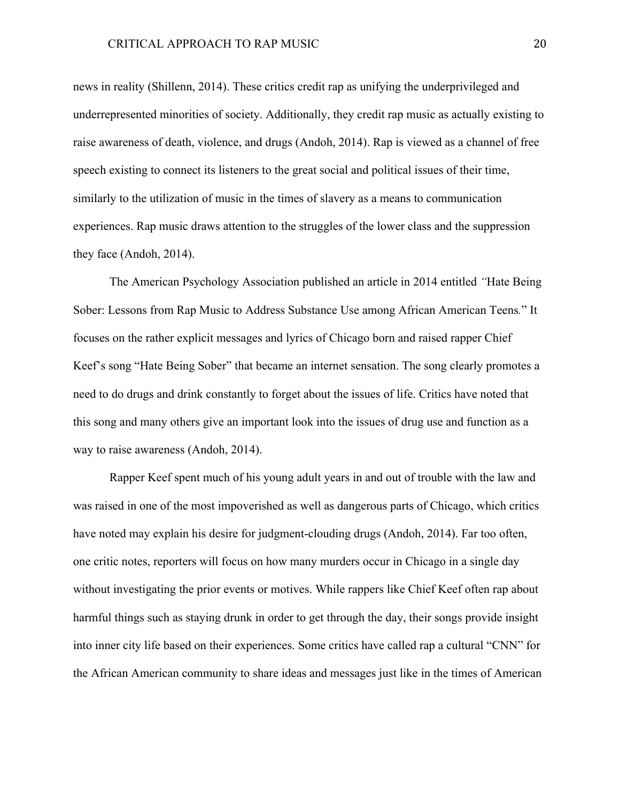news in reality (Shillenn, 2014). These critics credit rap as unifying the underprivileged and underrepresented minorities of society. Additionally, they credit rap music as actually existing to raise awareness of death, violence, and drugs (Andoh, 2014). Rap is viewed as a channel of free speech existing to connect its listeners to the great social and political issues of their time, similarly to the utilization of music in the times of slavery as a means to communication experiences. Rap music draws attention to the struggles of the lower class and the suppression they face (Andoh, 2014).

The American Psychology Association published an article in 2014 entitled *"*Hate Being Sober: Lessons from Rap Music to Address Substance Use among African American Teens*.*" It focuses on the rather explicit messages and lyrics of Chicago born and raised rapper Chief Keef's song "Hate Being Sober" that became an internet sensation. The song clearly promotes a need to do drugs and drink constantly to forget about the issues of life. Critics have noted that this song and many others give an important look into the issues of drug use and function as a way to raise awareness (Andoh, 2014).

Rapper Keef spent much of his young adult years in and out of trouble with the law and was raised in one of the most impoverished as well as dangerous parts of Chicago, which critics have noted may explain his desire for judgment-clouding drugs (Andoh, 2014). Far too often, one critic notes, reporters will focus on how many murders occur in Chicago in a single day without investigating the prior events or motives. While rappers like Chief Keef often rap about harmful things such as staying drunk in order to get through the day, their songs provide insight into inner city life based on their experiences. Some critics have called rap a cultural "CNN" for the African American community to share ideas and messages just like in the times of American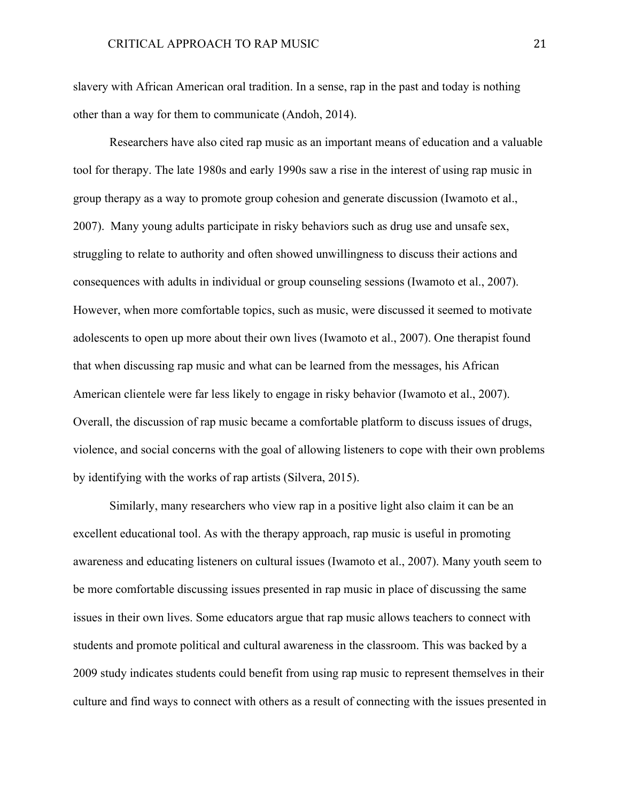slavery with African American oral tradition. In a sense, rap in the past and today is nothing other than a way for them to communicate (Andoh, 2014).

Researchers have also cited rap music as an important means of education and a valuable tool for therapy. The late 1980s and early 1990s saw a rise in the interest of using rap music in group therapy as a way to promote group cohesion and generate discussion (Iwamoto et al., 2007). Many young adults participate in risky behaviors such as drug use and unsafe sex, struggling to relate to authority and often showed unwillingness to discuss their actions and consequences with adults in individual or group counseling sessions (Iwamoto et al., 2007). However, when more comfortable topics, such as music, were discussed it seemed to motivate adolescents to open up more about their own lives (Iwamoto et al., 2007). One therapist found that when discussing rap music and what can be learned from the messages, his African American clientele were far less likely to engage in risky behavior (Iwamoto et al., 2007). Overall, the discussion of rap music became a comfortable platform to discuss issues of drugs, violence, and social concerns with the goal of allowing listeners to cope with their own problems by identifying with the works of rap artists (Silvera, 2015).

Similarly, many researchers who view rap in a positive light also claim it can be an excellent educational tool. As with the therapy approach, rap music is useful in promoting awareness and educating listeners on cultural issues (Iwamoto et al., 2007). Many youth seem to be more comfortable discussing issues presented in rap music in place of discussing the same issues in their own lives. Some educators argue that rap music allows teachers to connect with students and promote political and cultural awareness in the classroom. This was backed by a 2009 study indicates students could benefit from using rap music to represent themselves in their culture and find ways to connect with others as a result of connecting with the issues presented in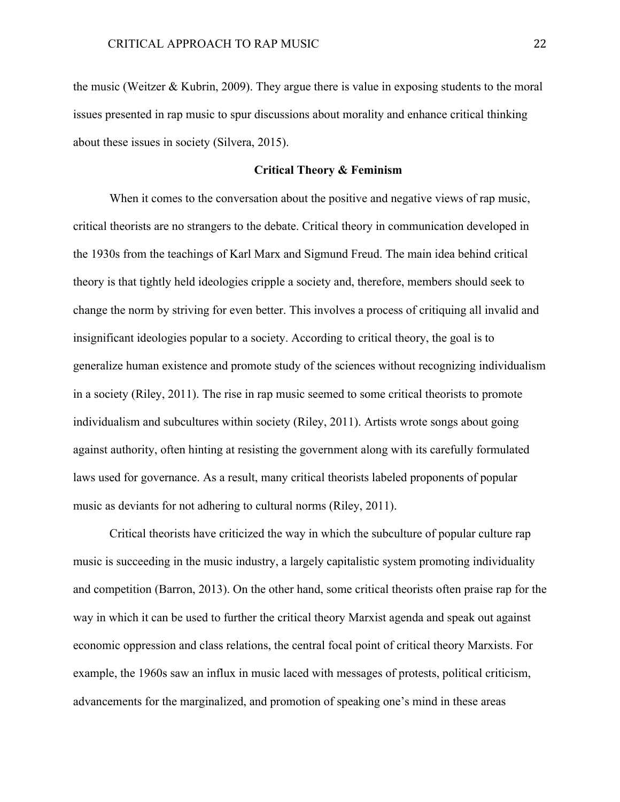the music (Weitzer  $\&$  Kubrin, 2009). They argue there is value in exposing students to the moral issues presented in rap music to spur discussions about morality and enhance critical thinking about these issues in society (Silvera, 2015).

## **Critical Theory & Feminism**

When it comes to the conversation about the positive and negative views of rap music, critical theorists are no strangers to the debate. Critical theory in communication developed in the 1930s from the teachings of Karl Marx and Sigmund Freud. The main idea behind critical theory is that tightly held ideologies cripple a society and, therefore, members should seek to change the norm by striving for even better. This involves a process of critiquing all invalid and insignificant ideologies popular to a society. According to critical theory, the goal is to generalize human existence and promote study of the sciences without recognizing individualism in a society (Riley, 2011). The rise in rap music seemed to some critical theorists to promote individualism and subcultures within society (Riley, 2011). Artists wrote songs about going against authority, often hinting at resisting the government along with its carefully formulated laws used for governance. As a result, many critical theorists labeled proponents of popular music as deviants for not adhering to cultural norms (Riley, 2011).

Critical theorists have criticized the way in which the subculture of popular culture rap music is succeeding in the music industry, a largely capitalistic system promoting individuality and competition (Barron, 2013). On the other hand, some critical theorists often praise rap for the way in which it can be used to further the critical theory Marxist agenda and speak out against economic oppression and class relations, the central focal point of critical theory Marxists. For example, the 1960s saw an influx in music laced with messages of protests, political criticism, advancements for the marginalized, and promotion of speaking one's mind in these areas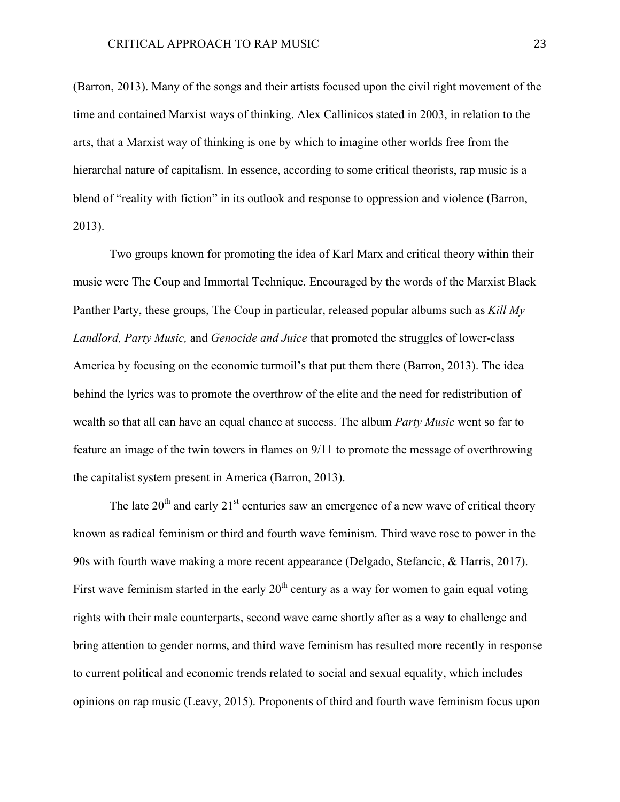(Barron, 2013). Many of the songs and their artists focused upon the civil right movement of the time and contained Marxist ways of thinking. Alex Callinicos stated in 2003, in relation to the arts, that a Marxist way of thinking is one by which to imagine other worlds free from the hierarchal nature of capitalism. In essence, according to some critical theorists, rap music is a blend of "reality with fiction" in its outlook and response to oppression and violence (Barron, 2013).

Two groups known for promoting the idea of Karl Marx and critical theory within their music were The Coup and Immortal Technique. Encouraged by the words of the Marxist Black Panther Party, these groups, The Coup in particular, released popular albums such as *Kill My Landlord, Party Music,* and *Genocide and Juice* that promoted the struggles of lower-class America by focusing on the economic turmoil's that put them there (Barron, 2013). The idea behind the lyrics was to promote the overthrow of the elite and the need for redistribution of wealth so that all can have an equal chance at success. The album *Party Music* went so far to feature an image of the twin towers in flames on 9/11 to promote the message of overthrowing the capitalist system present in America (Barron, 2013).

The late  $20<sup>th</sup>$  and early  $21<sup>st</sup>$  centuries saw an emergence of a new wave of critical theory known as radical feminism or third and fourth wave feminism. Third wave rose to power in the 90s with fourth wave making a more recent appearance (Delgado, Stefancic, & Harris, 2017). First wave feminism started in the early  $20<sup>th</sup>$  century as a way for women to gain equal voting rights with their male counterparts, second wave came shortly after as a way to challenge and bring attention to gender norms, and third wave feminism has resulted more recently in response to current political and economic trends related to social and sexual equality, which includes opinions on rap music (Leavy, 2015). Proponents of third and fourth wave feminism focus upon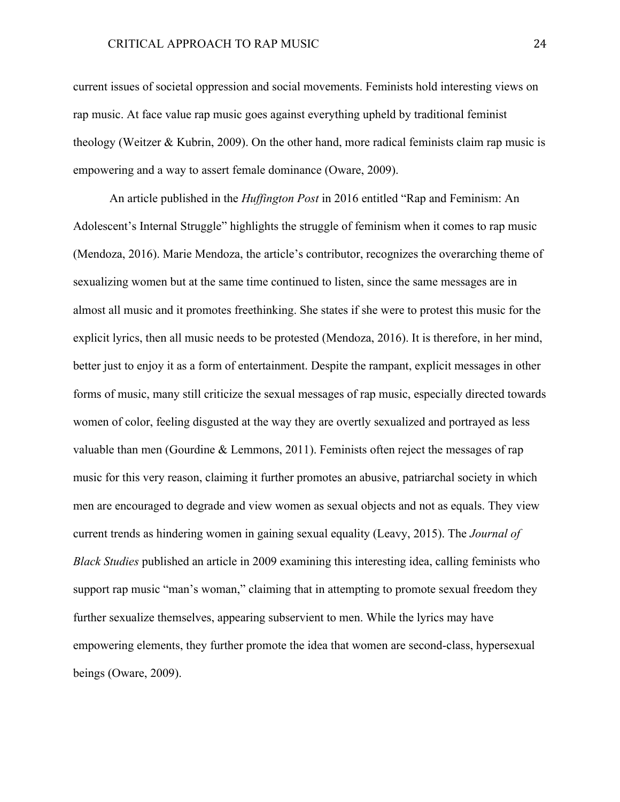current issues of societal oppression and social movements. Feminists hold interesting views on rap music. At face value rap music goes against everything upheld by traditional feminist theology (Weitzer & Kubrin, 2009). On the other hand, more radical feminists claim rap music is empowering and a way to assert female dominance (Oware, 2009).

An article published in the *Huffington Post* in 2016 entitled "Rap and Feminism: An Adolescent's Internal Struggle" highlights the struggle of feminism when it comes to rap music (Mendoza, 2016). Marie Mendoza, the article's contributor, recognizes the overarching theme of sexualizing women but at the same time continued to listen, since the same messages are in almost all music and it promotes freethinking. She states if she were to protest this music for the explicit lyrics, then all music needs to be protested (Mendoza, 2016). It is therefore, in her mind, better just to enjoy it as a form of entertainment. Despite the rampant, explicit messages in other forms of music, many still criticize the sexual messages of rap music, especially directed towards women of color, feeling disgusted at the way they are overtly sexualized and portrayed as less valuable than men (Gourdine & Lemmons, 2011). Feminists often reject the messages of rap music for this very reason, claiming it further promotes an abusive, patriarchal society in which men are encouraged to degrade and view women as sexual objects and not as equals. They view current trends as hindering women in gaining sexual equality (Leavy, 2015). The *Journal of Black Studies* published an article in 2009 examining this interesting idea, calling feminists who support rap music "man's woman," claiming that in attempting to promote sexual freedom they further sexualize themselves, appearing subservient to men. While the lyrics may have empowering elements, they further promote the idea that women are second-class, hypersexual beings (Oware, 2009).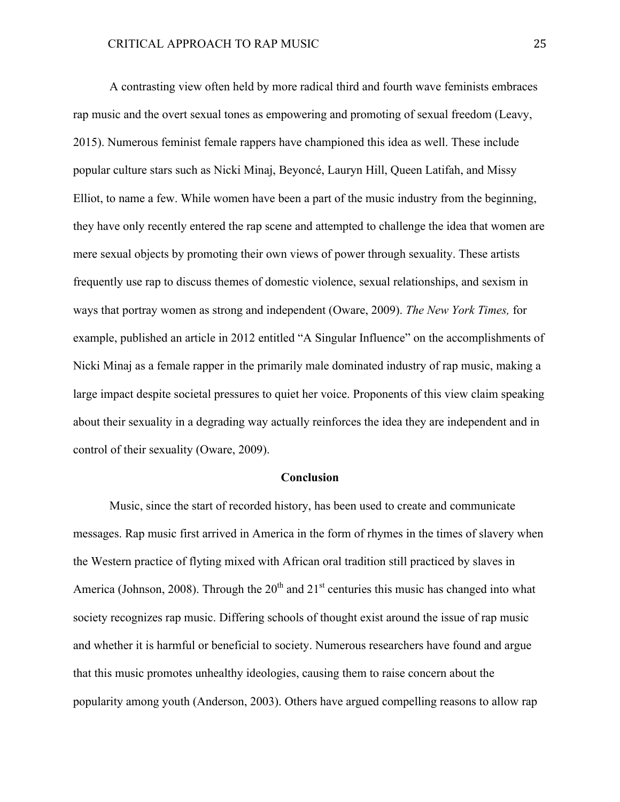A contrasting view often held by more radical third and fourth wave feminists embraces rap music and the overt sexual tones as empowering and promoting of sexual freedom (Leavy, 2015). Numerous feminist female rappers have championed this idea as well. These include popular culture stars such as Nicki Minaj, Beyoncé, Lauryn Hill, Queen Latifah, and Missy Elliot, to name a few. While women have been a part of the music industry from the beginning, they have only recently entered the rap scene and attempted to challenge the idea that women are mere sexual objects by promoting their own views of power through sexuality. These artists frequently use rap to discuss themes of domestic violence, sexual relationships, and sexism in ways that portray women as strong and independent (Oware, 2009). *The New York Times,* for example, published an article in 2012 entitled "A Singular Influence" on the accomplishments of Nicki Minaj as a female rapper in the primarily male dominated industry of rap music, making a large impact despite societal pressures to quiet her voice. Proponents of this view claim speaking about their sexuality in a degrading way actually reinforces the idea they are independent and in control of their sexuality (Oware, 2009).

#### **Conclusion**

Music, since the start of recorded history, has been used to create and communicate messages. Rap music first arrived in America in the form of rhymes in the times of slavery when the Western practice of flyting mixed with African oral tradition still practiced by slaves in America (Johnson, 2008). Through the  $20<sup>th</sup>$  and  $21<sup>st</sup>$  centuries this music has changed into what society recognizes rap music. Differing schools of thought exist around the issue of rap music and whether it is harmful or beneficial to society. Numerous researchers have found and argue that this music promotes unhealthy ideologies, causing them to raise concern about the popularity among youth (Anderson, 2003). Others have argued compelling reasons to allow rap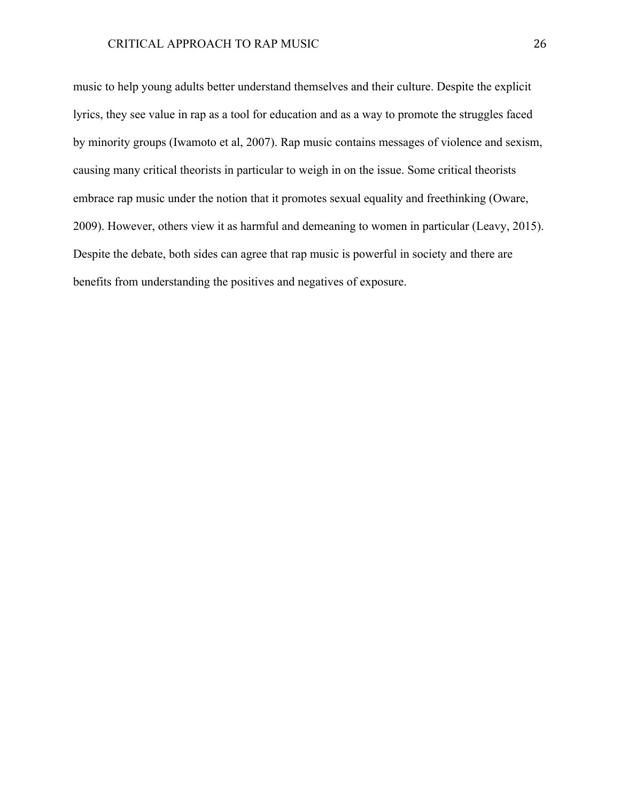music to help young adults better understand themselves and their culture. Despite the explicit lyrics, they see value in rap as a tool for education and as a way to promote the struggles faced by minority groups (Iwamoto et al, 2007). Rap music contains messages of violence and sexism, causing many critical theorists in particular to weigh in on the issue. Some critical theorists embrace rap music under the notion that it promotes sexual equality and freethinking (Oware, 2009). However, others view it as harmful and demeaning to women in particular (Leavy, 2015). Despite the debate, both sides can agree that rap music is powerful in society and there are benefits from understanding the positives and negatives of exposure.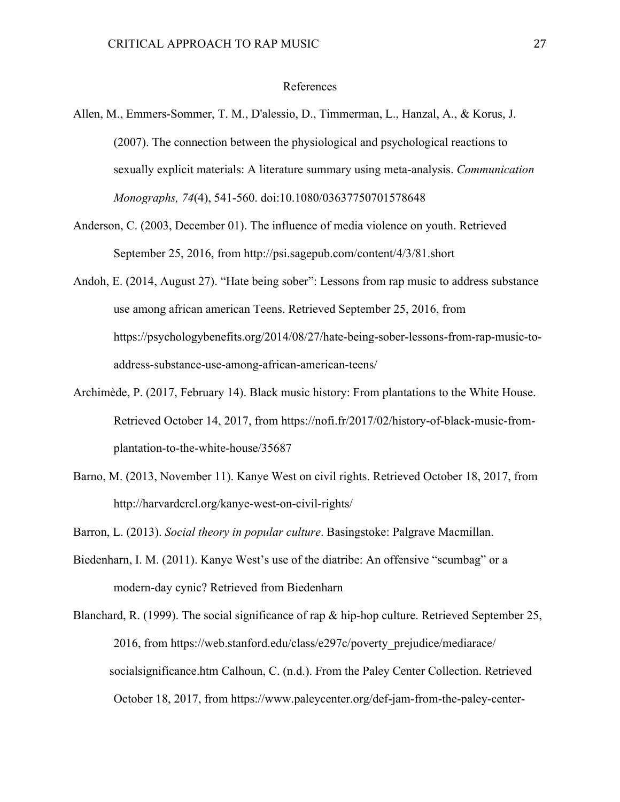## References

- Allen, M., Emmers-Sommer, T. M., D'alessio, D., Timmerman, L., Hanzal, A., & Korus, J. (2007). The connection between the physiological and psychological reactions to sexually explicit materials: A literature summary using meta-analysis. *Communication Monographs, 74*(4), 541-560. doi:10.1080/03637750701578648
- Anderson, C. (2003, December 01). The influence of media violence on youth. Retrieved September 25, 2016, from http://psi.sagepub.com/content/4/3/81.short
- Andoh, E. (2014, August 27). "Hate being sober": Lessons from rap music to address substance use among african american Teens. Retrieved September 25, 2016, from https://psychologybenefits.org/2014/08/27/hate-being-sober-lessons-from-rap-music-toaddress-substance-use-among-african-american-teens/
- Archimède, P. (2017, February 14). Black music history: From plantations to the White House. Retrieved October 14, 2017, from https://nofi.fr/2017/02/history-of-black-music-fromplantation-to-the-white-house/35687
- Barno, M. (2013, November 11). Kanye West on civil rights. Retrieved October 18, 2017, from http://harvardcrcl.org/kanye-west-on-civil-rights/

Barron, L. (2013). *Social theory in popular culture*. Basingstoke: Palgrave Macmillan.

Biedenharn, I. M. (2011). Kanye West's use of the diatribe: An offensive "scumbag" or a modern-day cynic? Retrieved from Biedenharn

Blanchard, R. (1999). The social significance of rap & hip-hop culture. Retrieved September 25, 2016, from https://web.stanford.edu/class/e297c/poverty\_prejudice/mediarace/ socialsignificance.htm Calhoun, C. (n.d.). From the Paley Center Collection. Retrieved October 18, 2017, from https://www.paleycenter.org/def-jam-from-the-paley-center-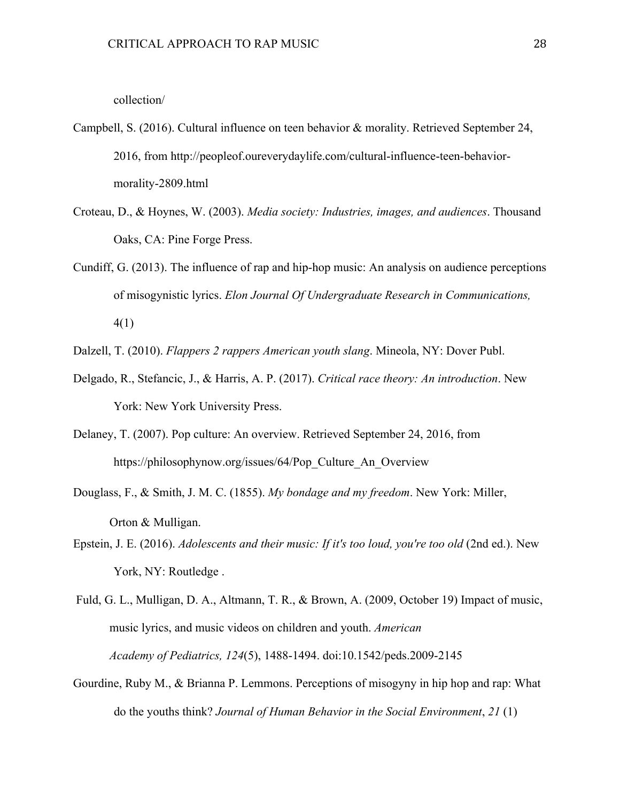## collection/

- Campbell, S. (2016). Cultural influence on teen behavior & morality. Retrieved September 24, 2016, from http://peopleof.oureverydaylife.com/cultural-influence-teen-behaviormorality-2809.html
- Croteau, D., & Hoynes, W. (2003). *Media society: Industries, images, and audiences*. Thousand Oaks, CA: Pine Forge Press.
- Cundiff, G. (2013). The influence of rap and hip-hop music: An analysis on audience perceptions of misogynistic lyrics. *Elon Journal Of Undergraduate Research in Communications,*  4(1)

Dalzell, T. (2010). *Flappers 2 rappers American youth slang*. Mineola, NY: Dover Publ.

- Delgado, R., Stefancic, J., & Harris, A. P. (2017). *Critical race theory: An introduction*. New York: New York University Press.
- Delaney, T. (2007). Pop culture: An overview. Retrieved September 24, 2016, from https://philosophynow.org/issues/64/Pop\_Culture\_An\_Overview
- Douglass, F., & Smith, J. M. C. (1855). *My bondage and my freedom*. New York: Miller, Orton & Mulligan.
- Epstein, J. E. (2016). *Adolescents and their music: If it's too loud, you're too old* (2nd ed.). New York, NY: Routledge.
- Fuld, G. L., Mulligan, D. A., Altmann, T. R., & Brown, A. (2009, October 19) Impact of music, music lyrics, and music videos on children and youth. *American Academy of Pediatrics, 124*(5), 1488-1494. doi:10.1542/peds.2009-2145
- Gourdine, Ruby M., & Brianna P. Lemmons. Perceptions of misogyny in hip hop and rap: What do the youths think? *Journal of Human Behavior in the Social Environment*, *21* (1)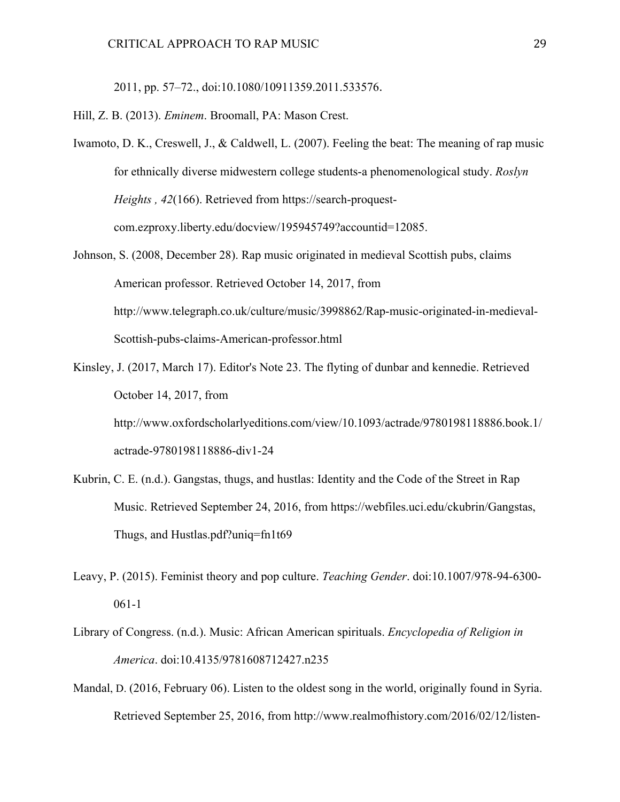2011, pp. 57–72., doi:10.1080/10911359.2011.533576.

Hill, Z. B. (2013). *Eminem*. Broomall, PA: Mason Crest.

- Iwamoto, D. K., Creswell, J., & Caldwell, L. (2007). Feeling the beat: The meaning of rap music for ethnically diverse midwestern college students-a phenomenological study. *Roslyn Heights , 42*(166). Retrieved from https://search-proquestcom.ezproxy.liberty.edu/docview/195945749?accountid=12085.
- Johnson, S. (2008, December 28). Rap music originated in medieval Scottish pubs, claims American professor. Retrieved October 14, 2017, from http://www.telegraph.co.uk/culture/music/3998862/Rap-music-originated-in-medieval-Scottish-pubs-claims-American-professor.html
- Kinsley, J. (2017, March 17). Editor's Note 23. The flyting of dunbar and kennedie. Retrieved October 14, 2017, from http://www.oxfordscholarlyeditions.com/view/10.1093/actrade/9780198118886.book.1/ actrade-9780198118886-div1-24
- Kubrin, C. E. (n.d.). Gangstas, thugs, and hustlas: Identity and the Code of the Street in Rap Music. Retrieved September 24, 2016, from https://webfiles.uci.edu/ckubrin/Gangstas, Thugs, and Hustlas.pdf?uniq=fn1t69
- Leavy, P. (2015). Feminist theory and pop culture. *Teaching Gender*. doi:10.1007/978-94-6300- 061-1
- Library of Congress. (n.d.). Music: African American spirituals. *Encyclopedia of Religion in America*. doi:10.4135/9781608712427.n235
- Mandal, D. (2016, February 06). Listen to the oldest song in the world, originally found in Syria. Retrieved September 25, 2016, from http://www.realmofhistory.com/2016/02/12/listen-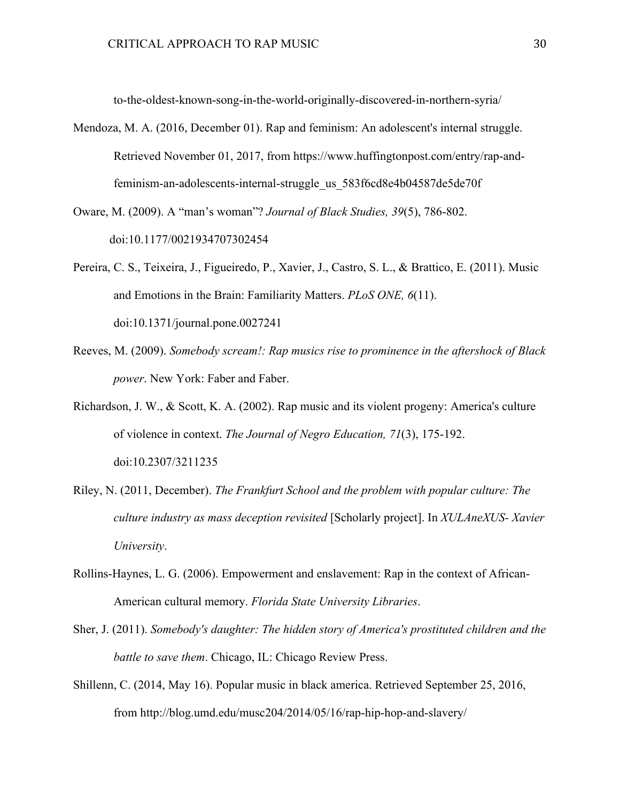to-the-oldest-known-song-in-the-world-originally-discovered-in-northern-syria/

- Mendoza, M. A. (2016, December 01). Rap and feminism: An adolescent's internal struggle. Retrieved November 01, 2017, from https://www.huffingtonpost.com/entry/rap-andfeminism-an-adolescents-internal-struggle\_us\_583f6cd8e4b04587de5de70f
- Oware, M. (2009). A "man's woman"? *Journal of Black Studies, 39*(5), 786-802. doi:10.1177/0021934707302454
- Pereira, C. S., Teixeira, J., Figueiredo, P., Xavier, J., Castro, S. L., & Brattico, E. (2011). Music and Emotions in the Brain: Familiarity Matters. *PLoS ONE, 6*(11). doi:10.1371/journal.pone.0027241
- Reeves, M. (2009). *Somebody scream!: Rap musics rise to prominence in the aftershock of Black power*. New York: Faber and Faber.
- Richardson, J. W., & Scott, K. A. (2002). Rap music and its violent progeny: America's culture of violence in context. *The Journal of Negro Education, 71*(3), 175-192. doi:10.2307/3211235
- Riley, N. (2011, December). *The Frankfurt School and the problem with popular culture: The culture industry as mass deception revisited* [Scholarly project]. In *XULAneXUS- Xavier University*.
- Rollins-Haynes, L. G. (2006). Empowerment and enslavement: Rap in the context of African-American cultural memory. *Florida State University Libraries*.
- Sher, J. (2011). *Somebody's daughter: The hidden story of America's prostituted children and the battle to save them*. Chicago, IL: Chicago Review Press.
- Shillenn, C. (2014, May 16). Popular music in black america. Retrieved September 25, 2016, from http://blog.umd.edu/musc204/2014/05/16/rap-hip-hop-and-slavery/